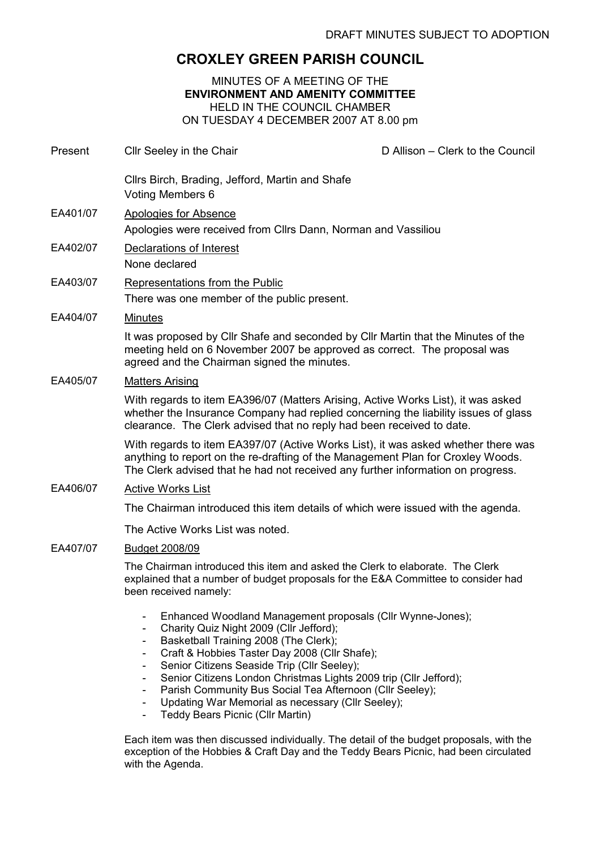## CROXLEY GREEN PARISH COUNCIL

## MINUTES OF A MEETING OF THE ENVIRONMENT AND AMENITY COMMITTEE HELD IN THE COUNCIL CHAMBER ON TUESDAY 4 DECEMBER 2007 AT 8.00 pm

| Present  | Cllr Seeley in the Chair                                                                                                                                                                                                                                                                                            | D Allison - Clerk to the Council |
|----------|---------------------------------------------------------------------------------------------------------------------------------------------------------------------------------------------------------------------------------------------------------------------------------------------------------------------|----------------------------------|
|          | Cllrs Birch, Brading, Jefford, Martin and Shafe<br>Voting Members 6                                                                                                                                                                                                                                                 |                                  |
| EA401/07 | <b>Apologies for Absence</b><br>Apologies were received from Cllrs Dann, Norman and Vassiliou                                                                                                                                                                                                                       |                                  |
| EA402/07 | Declarations of Interest<br>None declared                                                                                                                                                                                                                                                                           |                                  |
| EA403/07 | Representations from the Public<br>There was one member of the public present.                                                                                                                                                                                                                                      |                                  |
| EA404/07 | <b>Minutes</b>                                                                                                                                                                                                                                                                                                      |                                  |
|          | It was proposed by Cllr Shafe and seconded by Cllr Martin that the Minutes of the<br>meeting held on 6 November 2007 be approved as correct. The proposal was<br>agreed and the Chairman signed the minutes.                                                                                                        |                                  |
| EA405/07 | <b>Matters Arising</b>                                                                                                                                                                                                                                                                                              |                                  |
|          | With regards to item EA396/07 (Matters Arising, Active Works List), it was asked<br>whether the Insurance Company had replied concerning the liability issues of glass<br>clearance. The Clerk advised that no reply had been received to date.                                                                     |                                  |
|          | With regards to item EA397/07 (Active Works List), it was asked whether there was<br>anything to report on the re-drafting of the Management Plan for Croxley Woods.<br>The Clerk advised that he had not received any further information on progress.                                                             |                                  |
| EA406/07 | <b>Active Works List</b>                                                                                                                                                                                                                                                                                            |                                  |
|          | The Chairman introduced this item details of which were issued with the agenda.                                                                                                                                                                                                                                     |                                  |
|          | The Active Works List was noted.                                                                                                                                                                                                                                                                                    |                                  |
| EA407/07 | <b>Budget 2008/09</b>                                                                                                                                                                                                                                                                                               |                                  |
|          | The Chairman introduced this item and asked the Clerk to elaborate. The Clerk<br>explained that a number of budget proposals for the E&A Committee to consider had<br>been received namely:                                                                                                                         |                                  |
|          | Enhanced Woodland Management proposals (Cllr Wynne-Jones);<br>Charity Quiz Night 2009 (Cllr Jefford);<br>Basketball Training 2008 (The Clerk);<br>Craft & Hobbies Taster Day 2008 (Cllr Shafe);<br>Senior Citizens Seaside Trip (Cllr Seeley);<br>Senior Citizens London Christmas Lights 2009 trip (Cllr Jefford); |                                  |

- Parish Community Bus Social Tea Afternoon (Cllr Seeley);
- Updating War Memorial as necessary (Cllr Seeley);
- Teddy Bears Picnic (Cllr Martin)

Each item was then discussed individually. The detail of the budget proposals, with the exception of the Hobbies & Craft Day and the Teddy Bears Picnic, had been circulated with the Agenda.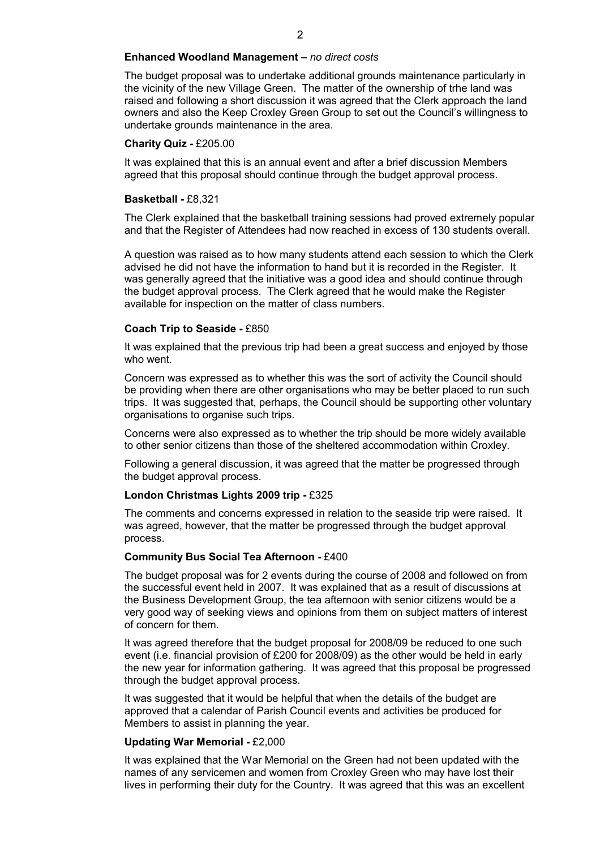#### Enhanced Woodland Management – no direct costs

The budget proposal was to undertake additional grounds maintenance particularly in the vicinity of the new Village Green. The matter of the ownership of trhe land was raised and following a short discussion it was agreed that the Clerk approach the land owners and also the Keep Croxley Green Group to set out the Council's willingness to undertake grounds maintenance in the area.

#### Charity Quiz - £205.00

It was explained that this is an annual event and after a brief discussion Members agreed that this proposal should continue through the budget approval process.

#### Basketball - £8,321

The Clerk explained that the basketball training sessions had proved extremely popular and that the Register of Attendees had now reached in excess of 130 students overall.

A question was raised as to how many students attend each session to which the Clerk advised he did not have the information to hand but it is recorded in the Register. It was generally agreed that the initiative was a good idea and should continue through the budget approval process. The Clerk agreed that he would make the Register available for inspection on the matter of class numbers.

#### Coach Trip to Seaside - £850

It was explained that the previous trip had been a great success and enjoyed by those who went.

Concern was expressed as to whether this was the sort of activity the Council should be providing when there are other organisations who may be better placed to run such trips. It was suggested that, perhaps, the Council should be supporting other voluntary organisations to organise such trips.

Concerns were also expressed as to whether the trip should be more widely available to other senior citizens than those of the sheltered accommodation within Croxley.

Following a general discussion, it was agreed that the matter be progressed through the budget approval process.

#### London Christmas Lights 2009 trip - £325

The comments and concerns expressed in relation to the seaside trip were raised. It was agreed, however, that the matter be progressed through the budget approval process.

## Community Bus Social Tea Afternoon - £400

The budget proposal was for 2 events during the course of 2008 and followed on from the successful event held in 2007. It was explained that as a result of discussions at the Business Development Group, the tea afternoon with senior citizens would be a very good way of seeking views and opinions from them on subject matters of interest of concern for them.

It was agreed therefore that the budget proposal for 2008/09 be reduced to one such event (i.e. financial provision of £200 for 2008/09) as the other would be held in early the new year for information gathering. It was agreed that this proposal be progressed through the budget approval process.

It was suggested that it would be helpful that when the details of the budget are approved that a calendar of Parish Council events and activities be produced for Members to assist in planning the year.

#### Updating War Memorial - £2,000

It was explained that the War Memorial on the Green had not been updated with the names of any servicemen and women from Croxley Green who may have lost their lives in performing their duty for the Country. It was agreed that this was an excellent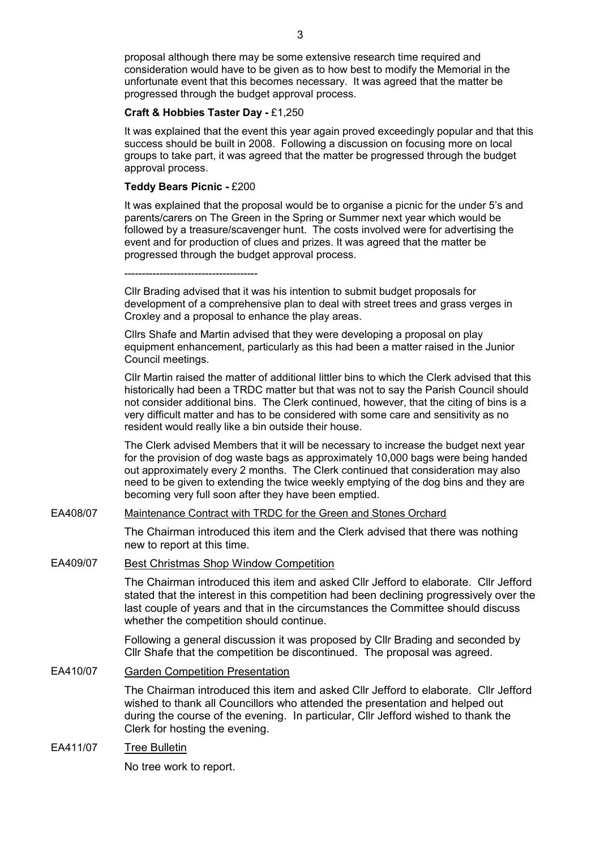proposal although there may be some extensive research time required and consideration would have to be given as to how best to modify the Memorial in the unfortunate event that this becomes necessary. It was agreed that the matter be progressed through the budget approval process.

#### Craft & Hobbies Taster Day - £1,250

It was explained that the event this year again proved exceedingly popular and that this success should be built in 2008. Following a discussion on focusing more on local groups to take part, it was agreed that the matter be progressed through the budget approval process.

#### Teddy Bears Picnic - £200

It was explained that the proposal would be to organise a picnic for the under 5's and parents/carers on The Green in the Spring or Summer next year which would be followed by a treasure/scavenger hunt. The costs involved were for advertising the event and for production of clues and prizes. It was agreed that the matter be progressed through the budget approval process.

--------------------------------------

Cllr Brading advised that it was his intention to submit budget proposals for development of a comprehensive plan to deal with street trees and grass verges in Croxley and a proposal to enhance the play areas.

Cllrs Shafe and Martin advised that they were developing a proposal on play equipment enhancement, particularly as this had been a matter raised in the Junior Council meetings.

Cllr Martin raised the matter of additional littler bins to which the Clerk advised that this historically had been a TRDC matter but that was not to say the Parish Council should not consider additional bins. The Clerk continued, however, that the citing of bins is a very difficult matter and has to be considered with some care and sensitivity as no resident would really like a bin outside their house.

The Clerk advised Members that it will be necessary to increase the budget next year for the provision of dog waste bags as approximately 10,000 bags were being handed out approximately every 2 months. The Clerk continued that consideration may also need to be given to extending the twice weekly emptying of the dog bins and they are becoming very full soon after they have been emptied.

## EA408/07 Maintenance Contract with TRDC for the Green and Stones Orchard

The Chairman introduced this item and the Clerk advised that there was nothing new to report at this time.

#### EA409/07 Best Christmas Shop Window Competition

The Chairman introduced this item and asked Cllr Jefford to elaborate. Cllr Jefford stated that the interest in this competition had been declining progressively over the last couple of years and that in the circumstances the Committee should discuss whether the competition should continue.

Following a general discussion it was proposed by Cllr Brading and seconded by Cllr Shafe that the competition be discontinued. The proposal was agreed.

## EA410/07 Garden Competition Presentation

The Chairman introduced this item and asked Cllr Jefford to elaborate. Cllr Jefford wished to thank all Councillors who attended the presentation and helped out during the course of the evening. In particular, Cllr Jefford wished to thank the Clerk for hosting the evening.

## EA411/07 Tree Bulletin

No tree work to report.